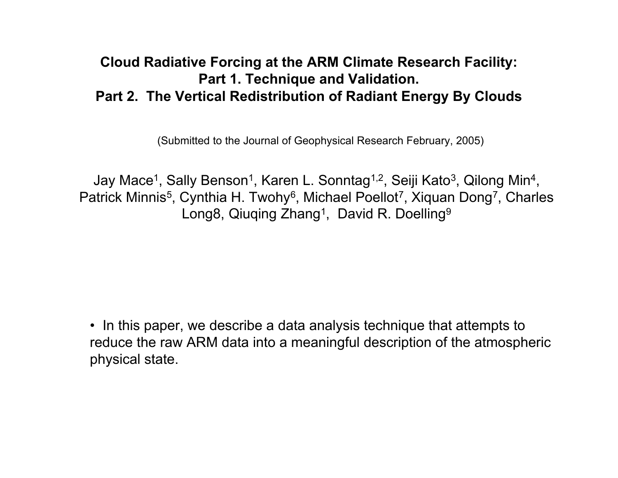# **Cloud Radiative Forcing at the ARM Climate Research Facility: Part 1. Technique and Validation.**

**Part 2. The Vertical Redistribution of Radiant Energy By Clouds**

(Submitted to the Journal of Geophysical Research February, 2005)

Jay Mace1, Sally Benson1, Karen L. Sonntag1,2, Seiji Kato3, Qilong Min4, Patrick Minnis<sup>5</sup>, Cynthia H. Twohy<sup>6</sup>, Michael Poellot<sup>7</sup>, Xiquan Dong<sup>7</sup>, Charles Long8, Qiuqing Zhang<sup>1</sup>, David R. Doelling<sup>9</sup>

• In this paper, we describe a data analysis technique that attempts to reduce the raw ARM data into a meaningful description of the atmospheric physical state.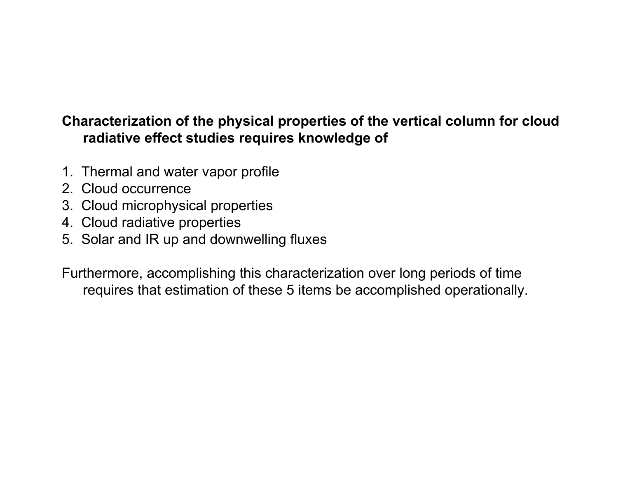## **Characterization of the physical properties of the vertical column for cloud radiative effect studies requires knowledge of**

- 1. Thermal and water vapor profile
- 2. Cloud occurrence
- 3. Cloud microphysical properties
- 4. Cloud radiative properties
- 5. Solar and IR up and downwelling fluxes

Furthermore, accomplishing this characterization over long periods of time requires that estimation of these 5 items be accomplished operationally.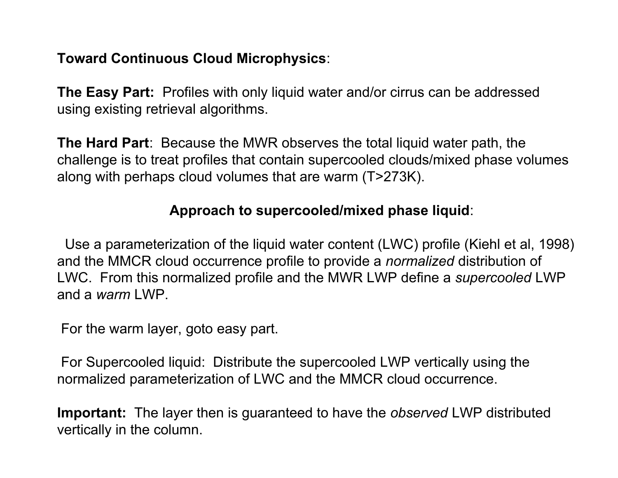#### **Toward Continuous Cloud Microphysics**:

**The Easy Part:** Profiles with only liquid water and/or cirrus can be addressed using existing retrieval algorithms.

**The Hard Part**: Because the MWR observes the total liquid water path, the challenge is to treat profiles that contain supercooled clouds/mixed phase volumes along with perhaps cloud volumes that are warm (T>273K).

#### **Approach to supercooled/mixed phase liquid**:

 Use a parameterization of the liquid water content (LWC) profile (Kiehl et al, 1998) and the MMCR cloud occurrence profile to provide a *normalized* distribution of LWC. From this normalized profile and the MWR LWP define a *supercooled* LWP and a *warm* LWP.

For the warm layer, goto easy part.

 For Supercooled liquid: Distribute the supercooled LWP vertically using the normalized parameterization of LWC and the MMCR cloud occurrence.

**Important:** The layer then is guaranteed to have the *observed* LWP distributed vertically in the column.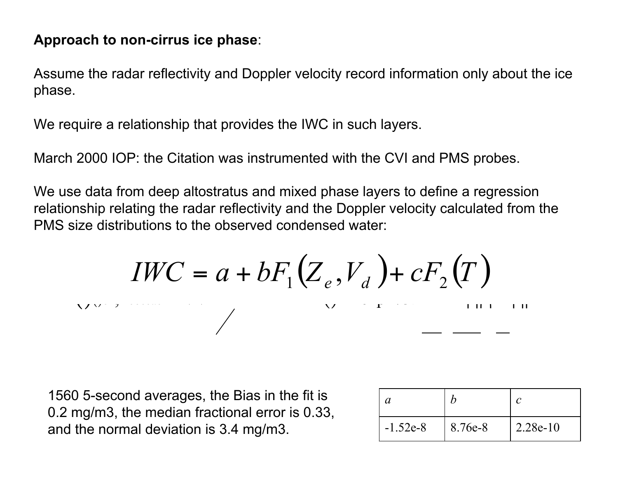#### **Approach to non-cirrus ice phase**:

Assume the radar reflectivity and Doppler velocity record information only about the ice phase.

We require a relationship that provides the IWC in such layers.

March 2000 IOP: the Citation was instrumented with the CVI and PMS probes.

We use data from deep altostratus and mixed phase layers to define a regression relationship relating the radar reflectivity and the Doppler velocity calculated from the PMS size distributions to the observed condensed water:

 $IWC = a + bF_1(Z_a, V_d) + cF_2(T)$ ()()61,*AZbbeedeFZVVZ*+= ()211exp273*vLFTRT*=−

1560 5-second averages, the Bias in the fit is 0.2 mg/m3, the median fractional error is 0.33, and the normal deviation is 3.4 mg/m3.

| $-1.52e-8$ | 8.76e-8 | $2.28e-10$ |
|------------|---------|------------|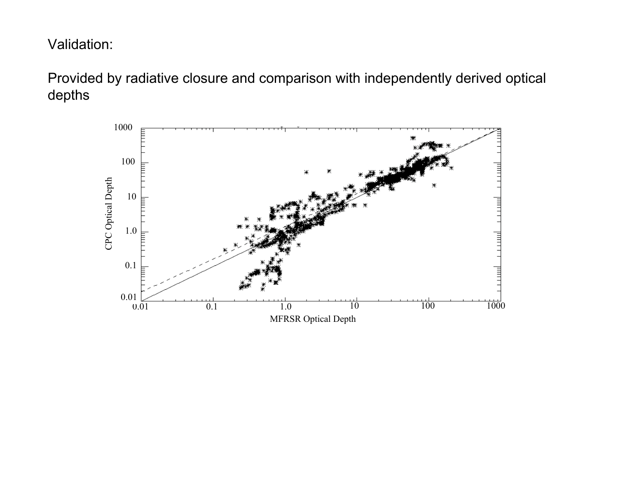### Validation:

Provided by radiative closure and comparison with independently derived optical depths

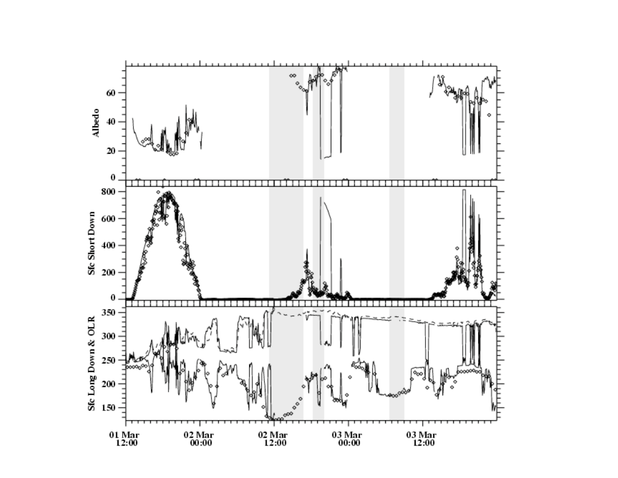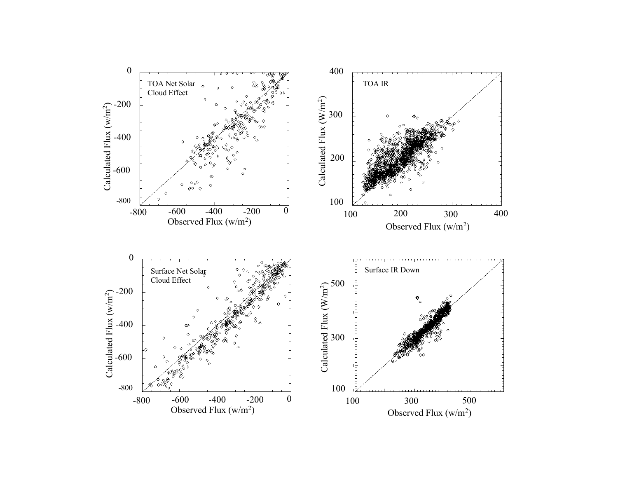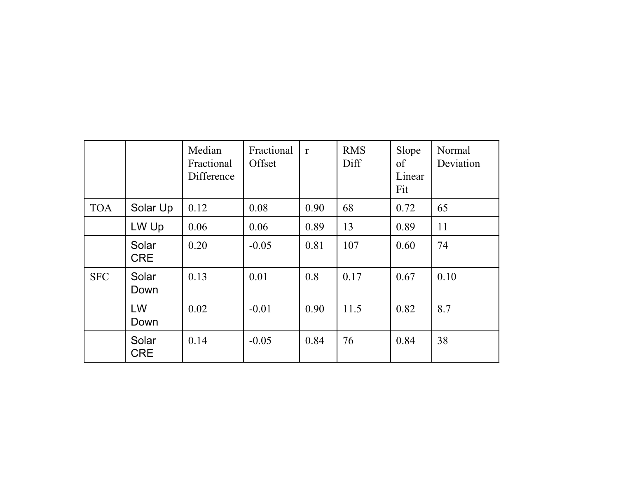|            |                     | Median<br>Fractional<br>Difference | Fractional<br>Offset | $\mathbf{r}$ | <b>RMS</b><br>Diff | Slope<br>of<br>Linear<br>Fit | Normal<br>Deviation |
|------------|---------------------|------------------------------------|----------------------|--------------|--------------------|------------------------------|---------------------|
| <b>TOA</b> | Solar Up            | 0.12                               | 0.08                 | 0.90         | 68                 | 0.72                         | 65                  |
|            | LW Up               | 0.06                               | 0.06                 | 0.89         | 13                 | 0.89                         | 11                  |
|            | Solar<br><b>CRE</b> | 0.20                               | $-0.05$              | 0.81         | 107                | 0.60                         | 74                  |
| <b>SFC</b> | Solar<br>Down       | 0.13                               | 0.01                 | 0.8          | 0.17               | 0.67                         | 0.10                |
|            | LW<br>Down          | 0.02                               | $-0.01$              | 0.90         | 11.5               | 0.82                         | 8.7                 |
|            | Solar<br><b>CRE</b> | 0.14                               | $-0.05$              | 0.84         | 76                 | 0.84                         | 38                  |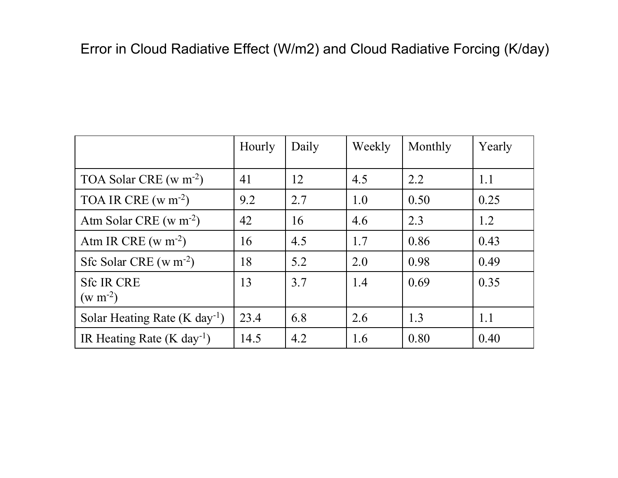|                                      | Hourly | Daily | Weekly | Monthly | Yearly |
|--------------------------------------|--------|-------|--------|---------|--------|
| TOA Solar CRE $(w m-2)$              | 41     | 12    | 4.5    | 2.2     | 1.1    |
| TOA IR CRE $(w m-2)$                 | 9.2    | 2.7   | 1.0    | 0.50    | 0.25   |
| Atm Solar CRE (w m <sup>-2</sup> )   | 42     | 16    | 4.6    | 2.3     | 1.2    |
| Atm IR CRE ( $w$ m <sup>-2</sup> )   | 16     | 4.5   | 1.7    | 0.86    | 0.43   |
| Sfc Solar CRE $(w m^{-2})$           | 18     | 5.2   | 2.0    | 0.98    | 0.49   |
| <b>Sfc IR CRE</b><br>$(w m^{-2})$    | 13     | 3.7   | 1.4    | 0.69    | 0.35   |
| Solar Heating Rate $(K \, day^{-1})$ | 23.4   | 6.8   | 2.6    | 1.3     | 1.1    |
| IR Heating Rate $(K day-1)$          | 14.5   | 4.2   | 1.6    | 0.80    | 0.40   |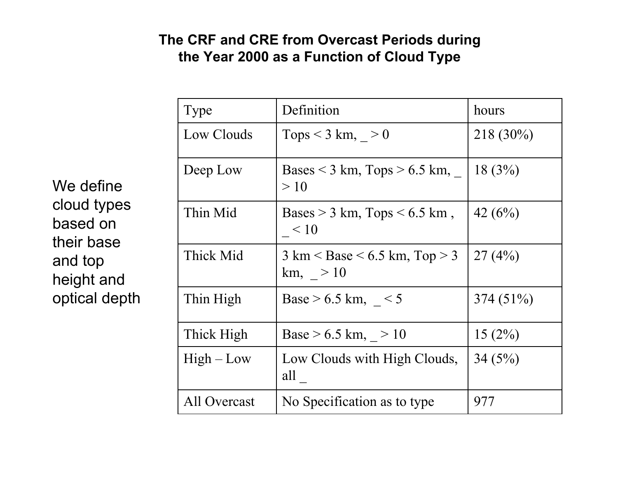### **The CRF and CRE from Overcast Periods during the Year 2000 as a Function of Cloud Type**

| Type         | Definition                                                          | hours       |
|--------------|---------------------------------------------------------------------|-------------|
| Low Clouds   | Tops < $3 \text{ km}$ , $> 0$                                       | $218(30\%)$ |
| Deep Low     | Bases $\leq$ 3 km, Tops $\geq$ 6.5 km,<br>>10                       | 18(3%)      |
| Thin Mid     | Bases > 3 km, Tops < $6.5$ km,<br>$\leq 10$                         | 42 $(6%)$   |
| Thick Mid    | $3 \text{ km} < \text{Base} < 6.5 \text{ km}$ , Top > 3<br>km, > 10 | 27(4%)      |
| Thin High    | Base > 6.5 km, $<$ 5                                                | $374(51\%)$ |
| Thick High   | Base > 6.5 km, > 10                                                 | 15(2%)      |
| $High - Low$ | Low Clouds with High Clouds,<br>all                                 | 34(5%)      |
| All Overcast | No Specification as to type                                         | 977         |

We define cloud types based on their base and top height and optical depth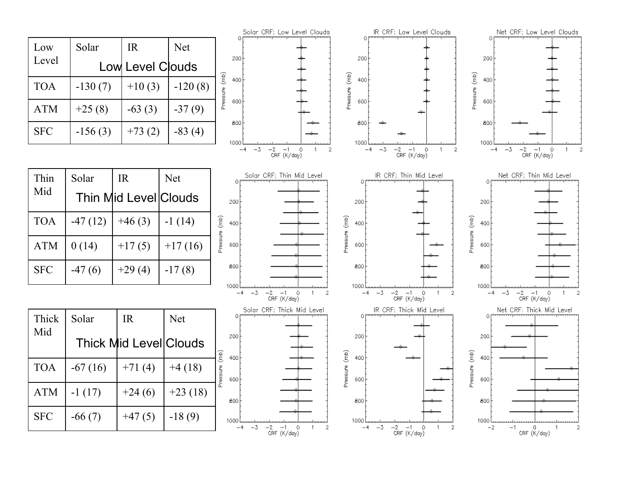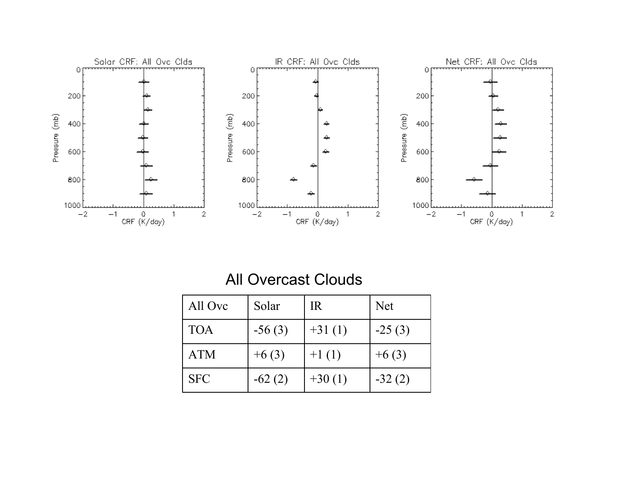

## All Overcast Clouds

| All Ove    | Solar    | IR       | <b>Net</b> |
|------------|----------|----------|------------|
| <b>TOA</b> | $-56(3)$ | $+31(1)$ | $-25(3)$   |
| <b>ATM</b> | $+6(3)$  | $+1(1)$  | $+6(3)$    |
| <b>SFC</b> | $-62(2)$ | $+30(1)$ | $-32(2)$   |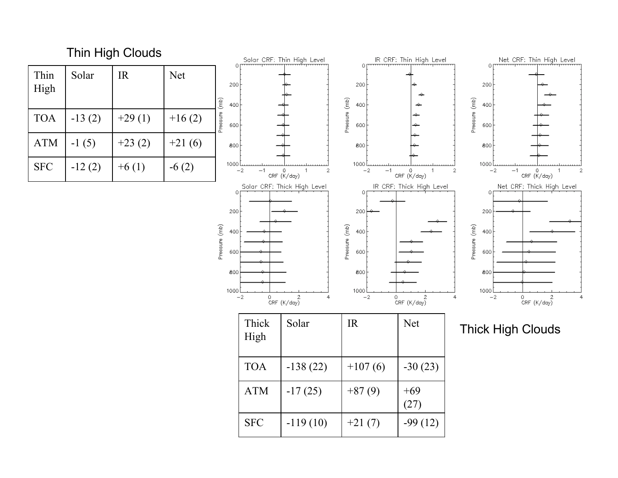#### Thin High Clouds

| Thin<br>High | Solar    | IR       | <b>Net</b> | ି<br>ଗୁ  |
|--------------|----------|----------|------------|----------|
| <b>TOA</b>   | $-13(2)$ | $+29(1)$ | $+16(2)$   | Pressure |
| <b>ATM</b>   | $-1(5)$  | $+23(2)$ | $+21(6)$   |          |
| <b>SFC</b>   | $-12(2)$ | $+6(1)$  | $-6(2)$    |          |

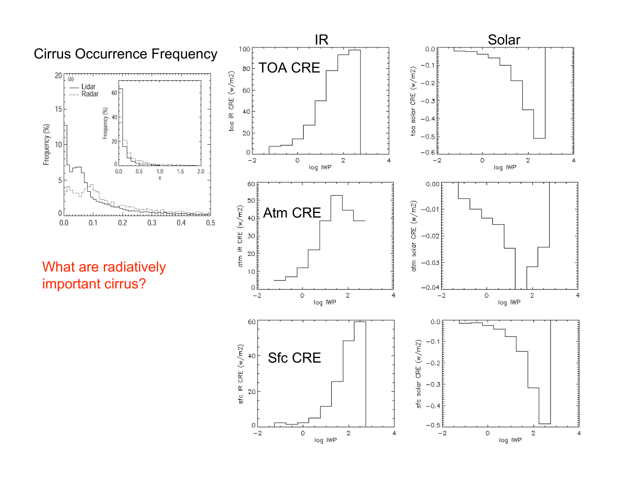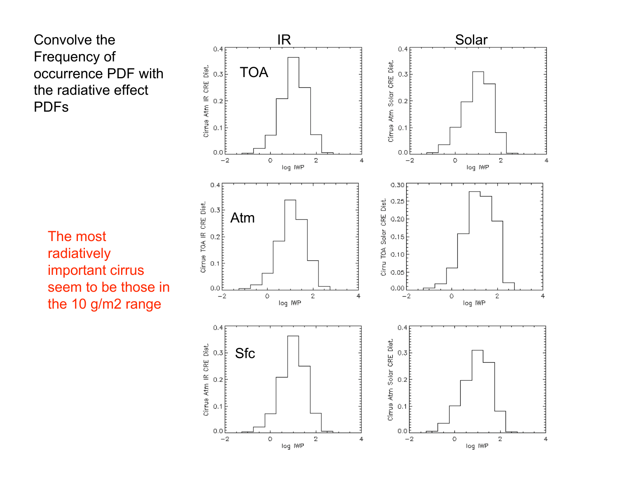#### Convolve the Frequency of occurrence PDF with the radiative effect PDFs

The most radiatively important cirrus seem to be those in the 10 g/m2 range